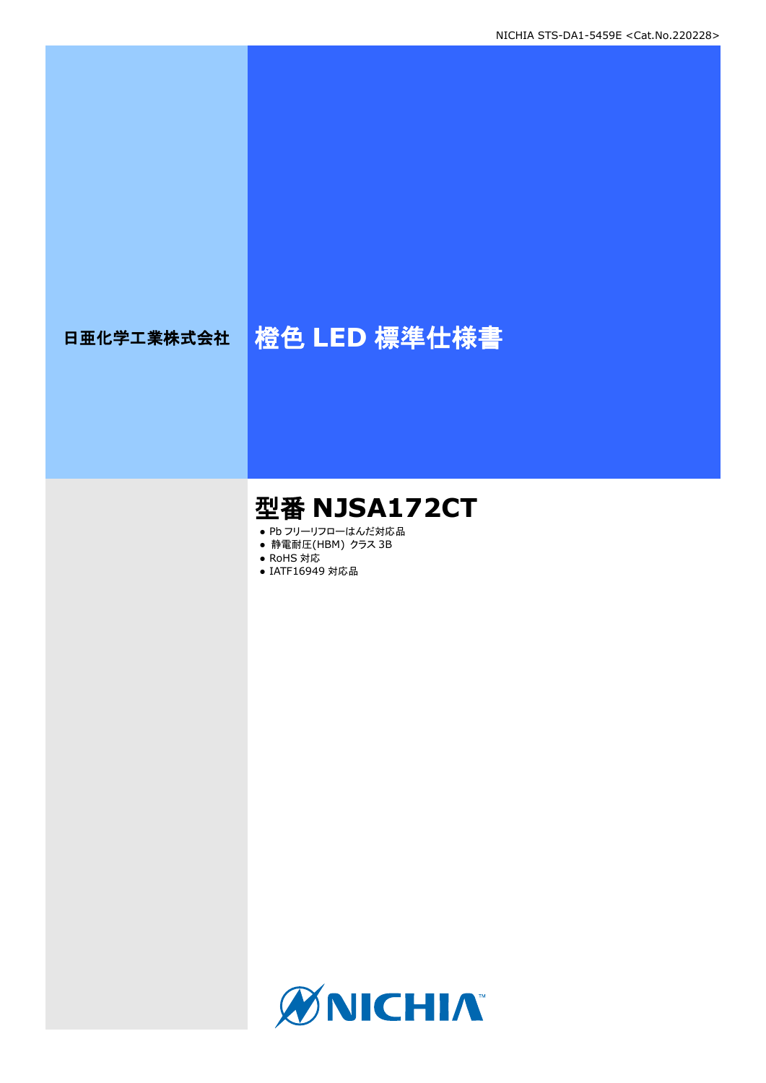# 日亜化学工業株式会社 格色 LED 標準仕様書

# 型番 **NJSA172CT**

- Pb フリーリフローはんだ対応品
- **静電耐圧(HBM) クラス 3B**
- RoHS 対応
- IATF16949 対応品

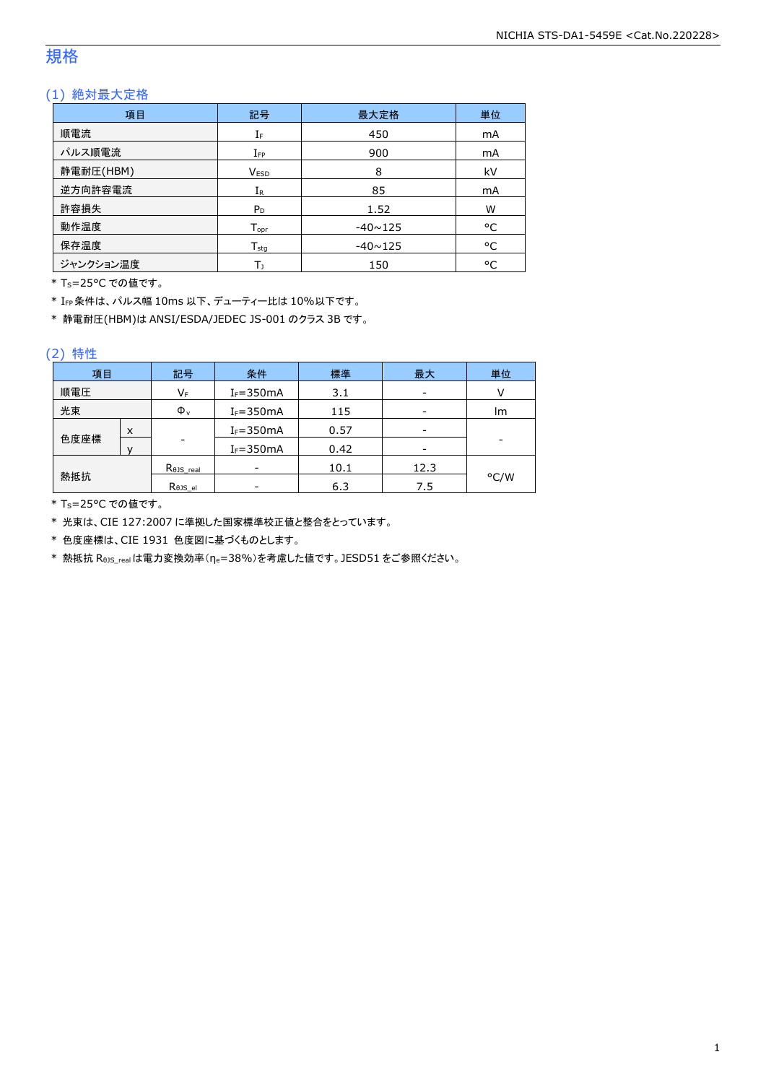### 規格

### (1) 絶対最大定格

| 項目        | 記号               | 最大定格           | 単位             |
|-----------|------------------|----------------|----------------|
| 順電流       | IF               | 450            | mA             |
| パルス順電流    | $I_{FP}$         | 900            | mA             |
| 静電耐圧(HBM) | <b>VESD</b>      | 8              | kV             |
| 逆方向許容電流   | $I_{R}$          | 85             | m <sub>A</sub> |
| 許容損失      | $P_D$            | 1.52           | W              |
| 動作温度      | $T_{\text{opt}}$ | $-40 \sim 125$ | °C             |
| 保存温度      | $T_{sta}$        | $-40 \sim 125$ | °C             |
| ジャンクション温度 | Т١               | 150            | °C             |

\* Ts=25°C での値です。

\* IFP条件は、パルス幅 10ms 以下、デューティー比は 10%以下です。

\* 静電耐圧(HBM)は ANSI/ESDA/JEDEC JS-001 のクラス 3B です。

### (2) 特性

| 項目   |   | 記号        | 条件            | 標準   | 最大   | 単位   |
|------|---|-----------|---------------|------|------|------|
| 順電圧  |   | VF        | $I_F = 350mA$ | 3.1  | -    |      |
| 光束   |   | $\Phi_v$  | $I_F = 350mA$ | 115  | -    | lm   |
|      | x |           | $I_F = 350mA$ | 0.57 |      |      |
| 色度座標 |   | -         | $I_F = 350mA$ | 0.42 |      |      |
|      |   | Rojs_real |               | 10.1 | 12.3 |      |
| 熱抵抗  |   | Rejs el   |               | 6.3  | 7.5  | °C/W |

\* Ts=25°C での値です。

\* 光束は、CIE 127:2007 に準拠した国家標準校正値と整合をとっています。

\* 色度座標は、CIE 1931 色度図に基づくものとします。

\* 熱抵抗 RθJS\_realは電力変換効率(ηe=38%)を考慮した値です。JESD51 をご参照ください。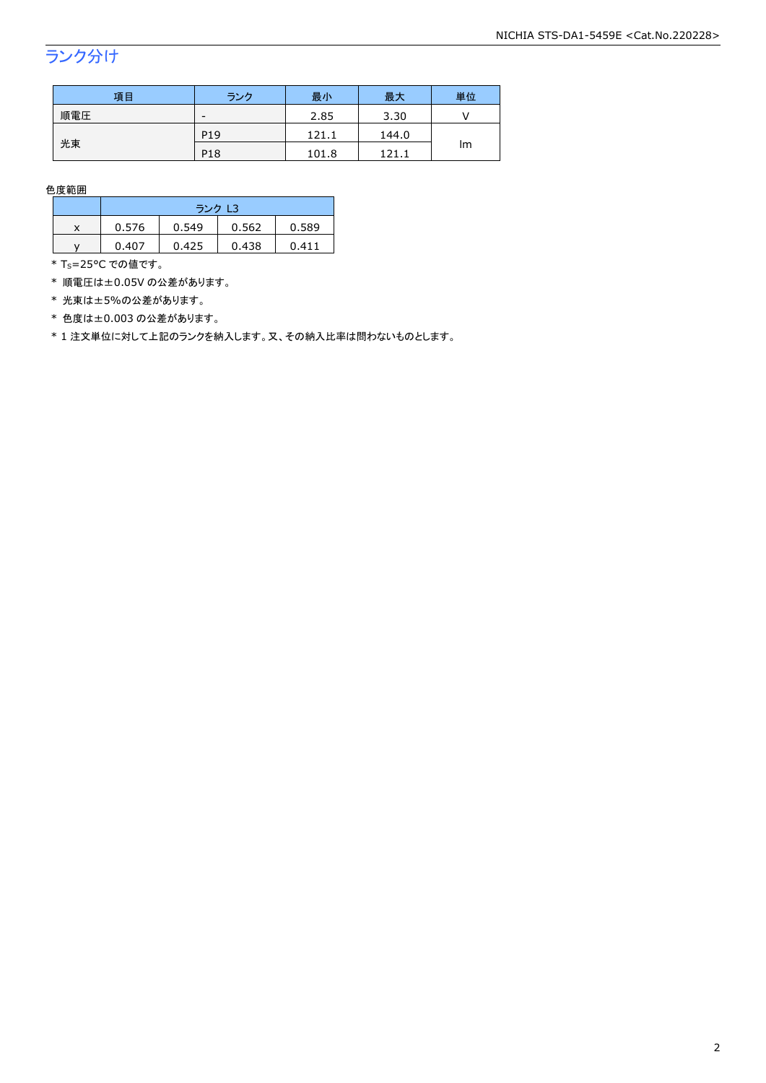### ランク分け

| 項目  | ランク             | 最小    | 最大    | 単位 |  |
|-----|-----------------|-------|-------|----|--|
| 順電圧 | -               | 2.85  | 3.30  |    |  |
|     | P <sub>19</sub> | 121.1 | 144.0 |    |  |
| 光束  | P <sub>18</sub> | 101.8 | 121.1 | Im |  |

色度範囲

|   | ランク L3 |       |       |       |  |
|---|--------|-------|-------|-------|--|
| x | 0.576  | 0.549 | 0.562 | 0.589 |  |
|   | 0.407  | 0.425 | 0.438 | 0.411 |  |

\* T<sub>S</sub>=25°C での値です。

\* 順電圧は±0.05V の公差があります。

\* 光束は±5%の公差があります。

\* 色度は±0.003 の公差があります。

\* 1 注文単位に対して上記のランクを納入します。又、その納入比率は問わないものとします。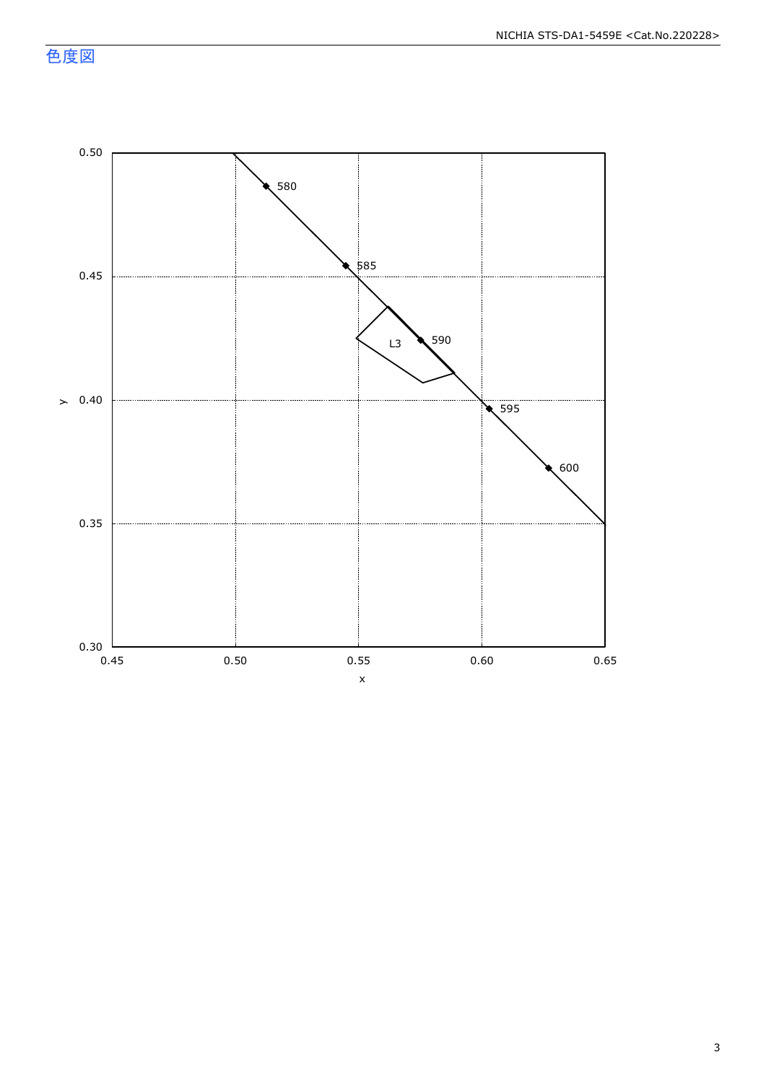色度図

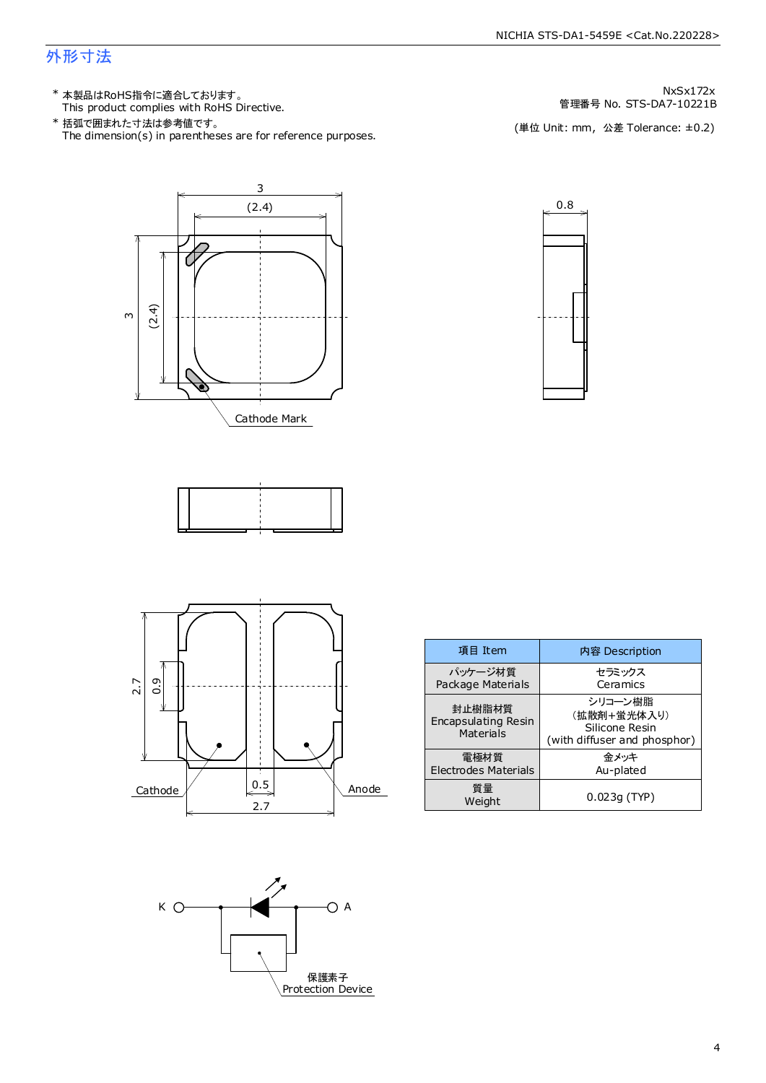### 外形寸法

This product complies with RoHS Directive. \* 本製品はRoHS指令に適合しております。

The dimension(s) in parentheses are for reference purposes. \* 括弧で囲まれた寸法は参考値です。

管理番号 No. STS-DA7-10221B NxSx172x

(単位 Unit: mm) (単位 Unit: mm, 公差 Tolerance: ±0.2)







| 項目 Item                                           | 内容 Description                                                           |
|---------------------------------------------------|--------------------------------------------------------------------------|
| パッケージ材質<br>Package Materials                      | セラミックス<br>Ceramics                                                       |
| 封止樹脂材質<br><b>Encapsulating Resin</b><br>Materials | シリコーン樹脂<br>(拡散剤+蛍光体入り)<br>Silicone Resin<br>(with diffuser and phosphor) |
| 電極材質<br>Electrodes Materials                      | 金メッキ<br>Au-plated                                                        |
| 質量<br>Weight                                      | $0.023q$ (TYP)                                                           |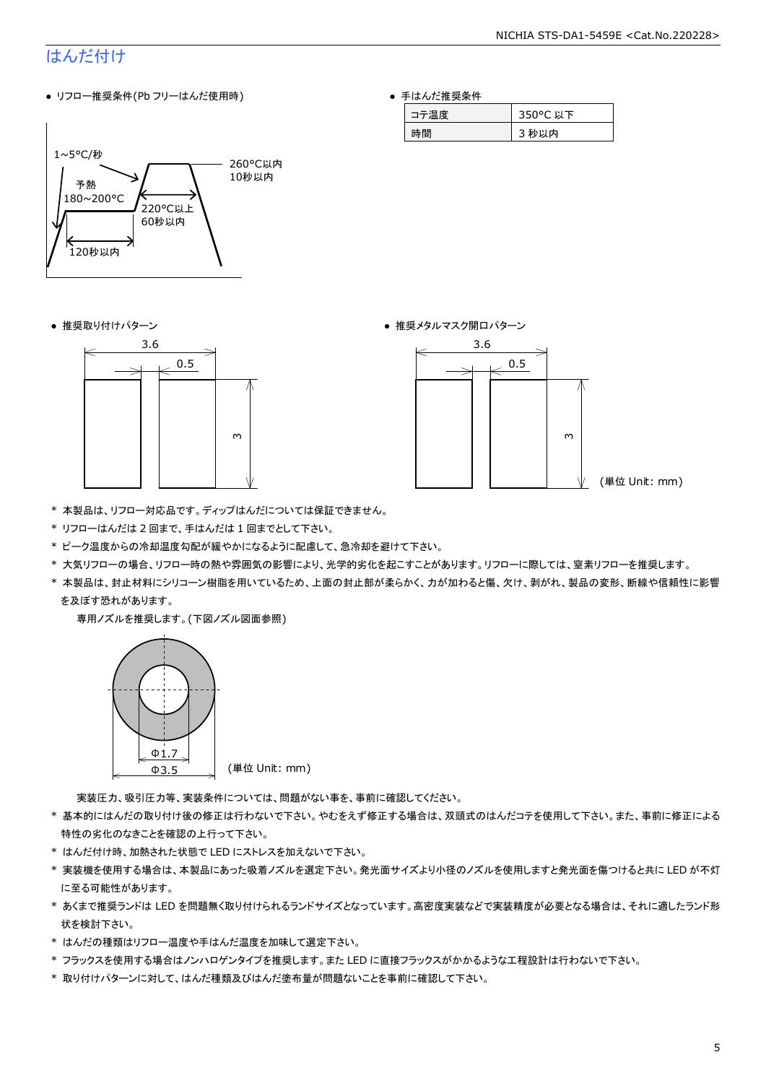### はんだ付け

● リフロー推奨条件(Pb フリーはんだ使用時)



● 手はんだ推奨条件

| 旦度 | 50°C.<br>以下 |
|----|-------------|
| 間  | 心以内         |





- \* 本製品は、リフロー対応品です。ディップはんだについては保証できません。
- \* リフローはんだは 2 回まで、手はんだは 1 回までとして下さい。
- \* ピーク温度からの冷却温度勾配が緩やかになるように配慮して、急冷却を避けて下さい。
- \* 大気リフローの場合、リフロー時の熱や雰囲気の影響により、光学的劣化を起こすことがあります。リフローに際しては、窒素リフローを推奨します。
- \* 本製品は、封止材料にシリコーン樹脂を用いているため、上面の封止部が柔らかく、力が加わると傷、欠け、剥がれ、製品の変形、断線や信頼性に影響 を及ぼす恐れがあります。

専用ノズルを推奨します。(下図ノズル図面参照)



実装圧力、吸引圧力等、実装条件については、問題がない事を、事前に確認してください。

- \* 基本的にはんだの取り付け後の修正は行わないで下さい。やむをえず修正する場合は、双頭式のはんだコテを使用して下さい。また、事前に修正による 特性の劣化のなきことを確認の上行って下さい。
- \* はんだ付け時、加熱された状態で LED にストレスを加えないで下さい。
- \* 実装機を使用する場合は、本製品にあった吸着ノズルを選定下さい。発光面サイズより小径のノズルを使用しますと発光面を傷つけると共に LED が不灯 に至る可能性があります。
- \* あくまで推奨ランドは LED を問題無く取り付けられるランドサイズとなっています。高密度実装などで実装精度が必要となる場合は、それに適したランド形 状を検討下さい。
- \* はんだの種類はリフロー温度や手はんだ温度を加味して選定下さい。
- \* フラックスを使用する場合はノンハロゲンタイプを推奨します。また LED に直接フラックスがかかるような工程設計は行わないで下さい。
- \* 取り付けパターンに対して、はんだ種類及びはんだ塗布量が問題ないことを事前に確認して下さい。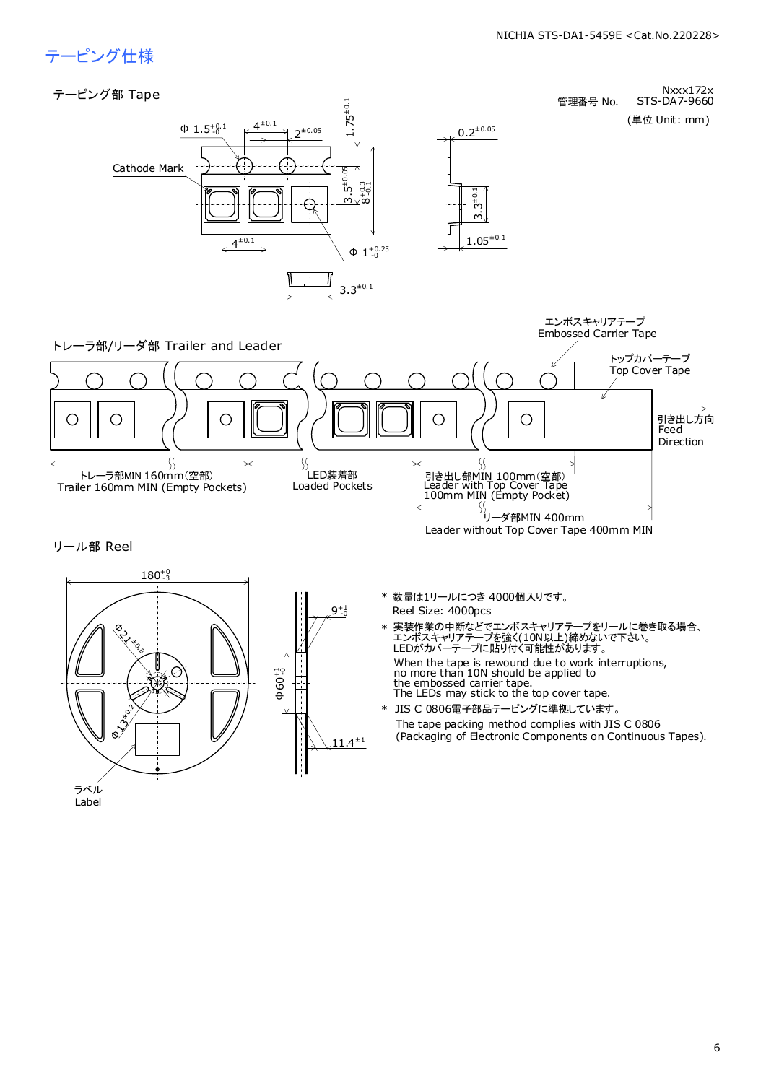Embossed Carrier Tape

### テーピング仕様

### テーピング部 Tape



Nxxx172x<br>STS-DA7-9660 管理番号 No.

### (単位 Unit: mm)







- Reel Size: 4000pcs \* 数量は1リールにつき 4000個入りです。
- When the tape is rewound due to work interruptions, no more than 10N should be applied to the embossed carrier tape. The LEDs may stick to the top cover tape. \* 実装作業の中断などでエンボスキャリアテープをリールに巻き取る場合、 エンボスキャリアテープを強く(10N以上)締めないで下さい。 LEDがカバーテープに貼り付く可能性があります。
- The tape packing method complies with JIS C 0806 (Packaging of Electronic Components on Continuous Tapes). \* JIS C 0806電子部品テーピングに準拠しています。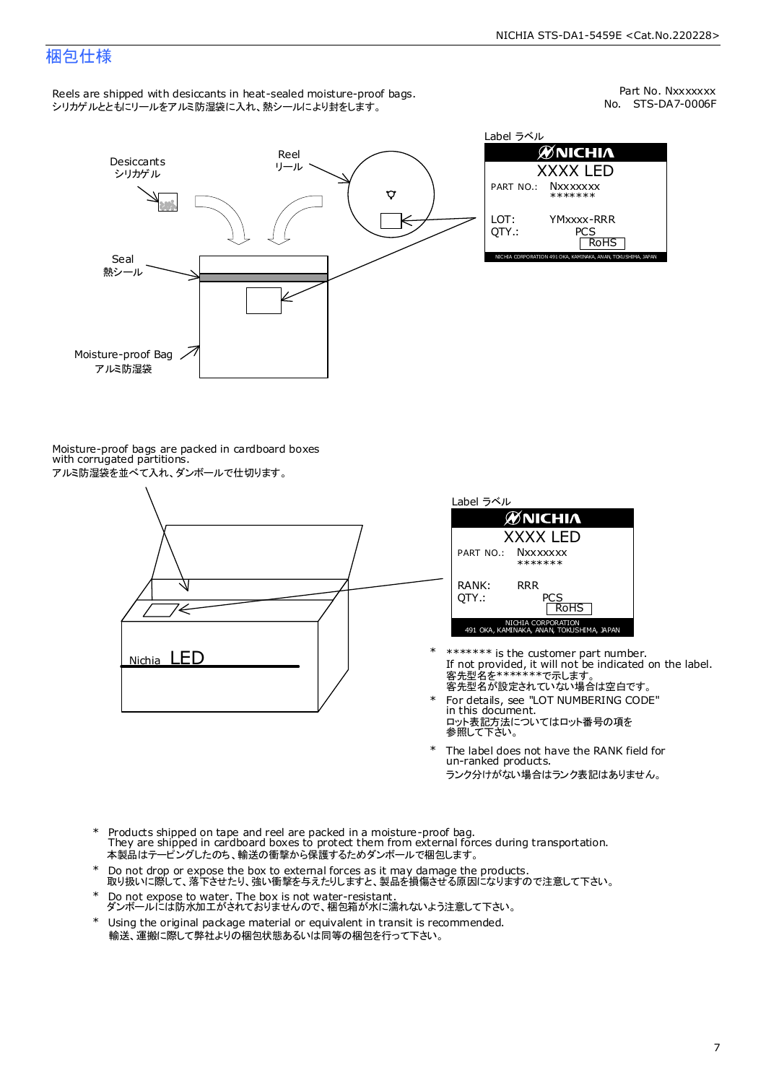### 梱包仕様

Reels are shipped with desiccants in heat-sealed moisture-proof bags. シリカゲルとともにリールをアルミ防湿袋に入れ、熱シールにより封をします。

No. STS-DA7-0006F Part No. Nxxxxxxx



| Label ラベル       |                                                              |  |  |  |  |  |
|-----------------|--------------------------------------------------------------|--|--|--|--|--|
|                 | <b>ØNICHIA</b>                                               |  |  |  |  |  |
| <b>XXXX LED</b> |                                                              |  |  |  |  |  |
|                 | PART NO.: Nxxxxxxx<br>*******                                |  |  |  |  |  |
| LOT:<br>OTY.:   | YMxxxx-RRR<br>PCS<br><b>RoHS</b>                             |  |  |  |  |  |
|                 | NICHIA CORPORATION 491 OKA, KAMINAKA, ANAN, TOKUSHIMA, JAPAN |  |  |  |  |  |

Moisture-proof bags are packed in cardboard boxes with corrugated partitions. アルミ防湿袋を並べて入れ、ダンボールで仕切ります。





- 客先型名を\*\*\*\*\*\*\*\*で示します。<br>客先型名が設定されていない場合は空白です。 If not provided, it will not be indicated on the label. \*\*\*\*\*\*\* is the customer part number.
- For details, see "LOT NUMBERING CODE" in this document. ロット表記方法についてはロット番号の項を<br>参照して下さい。 \*
- The label does not have the RANK field for un-ranked products. ランク分けがない場合はランク表記はありません。 \*
- Products shipped on tape and reel are packed in a moisture-proof bag. They are shipped in cardboard boxes to protect them from external forces during transportation. 本製品はテーピングしたのち、輸送の衝撃から保護するためダンボールで梱包します。 \*
- Do not drop or expose the box to external forces as it may damage the products. 取り扱いに際して、落下させたり、強い衝撃を与えたりしますと、製品を損傷させる原因になりますので注意して下さい。 \*
- Do not expose to water. The box is not water-resistant. ダンボールには防水加工がされておりませんので、梱包箱が水に濡れないよう注意して下さい。 \*
- \* Using the original package material or equivalent in transit is recommended. 輸送、運搬に際して弊社よりの梱包状態あるいは同等の梱包を行って下さい。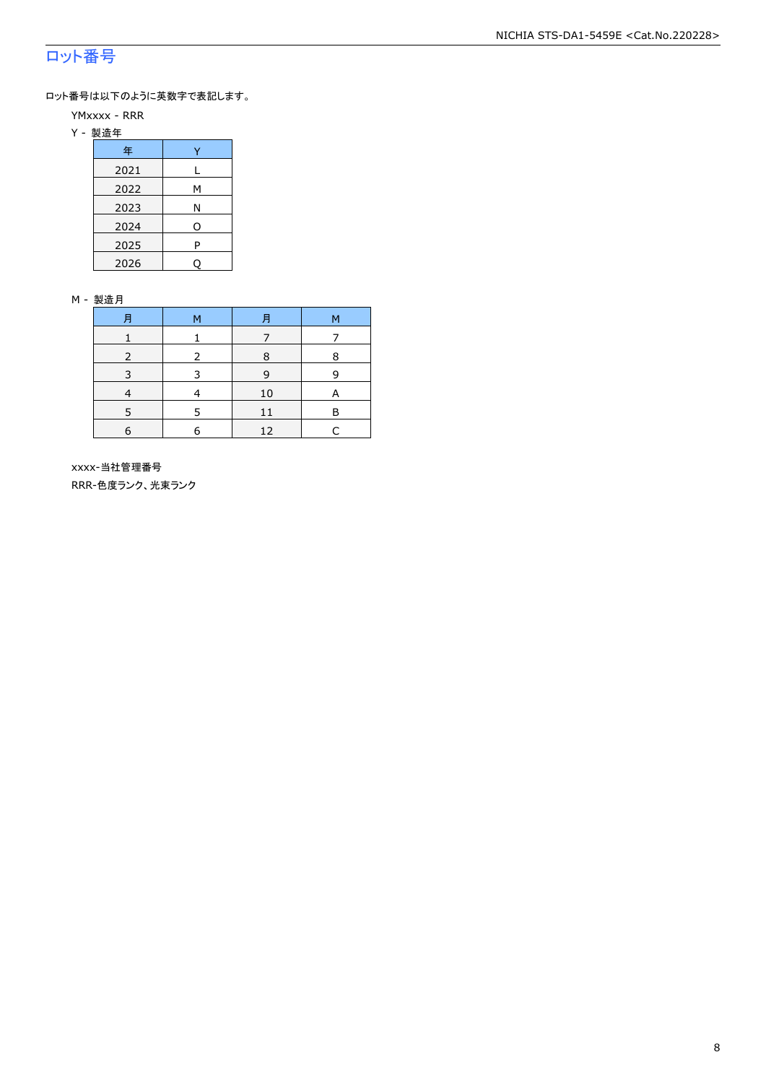### ロット番号

ロット番号は以下のように英数字で表記します。

- YMxxxx RRR
- Y 製造年

| 年    |   |
|------|---|
| 2021 |   |
| 2022 | М |
| 2023 | Ν |
| 2024 | O |
| 2025 | P |
| 2026 |   |

#### M - 製造月

| 月          | M | Ħ  | M |
|------------|---|----|---|
|            |   |    |   |
|            |   | 8  | 8 |
| 3          | З | 9  | q |
|            |   | 10 | А |
|            |   | 11 | R |
| $\epsilon$ | F | 12 |   |

 xxxx-当社管理番号 RRR-色度ランク、光束ランク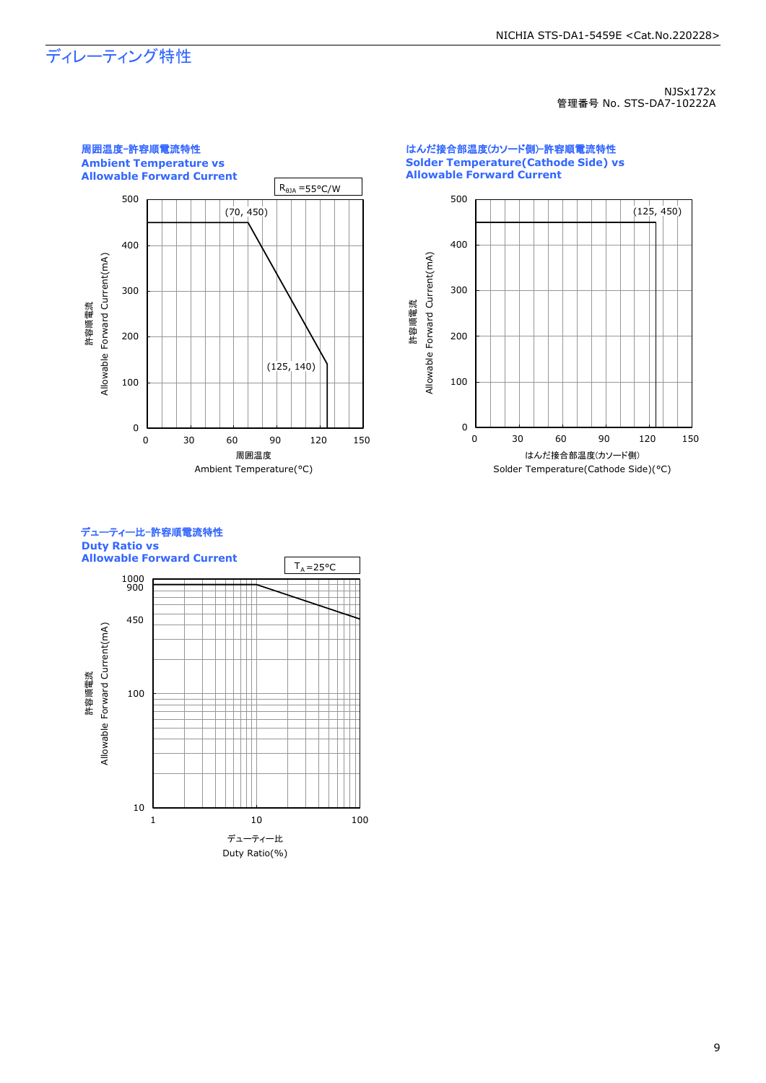## ディレーティング特性

NJSx172x 管理番号 No. STS-DA7-10222A



はんだ接合部温度(カソード側)-許容順電流特性 **Solder Temperature(Cathode Side) vs Allowable Forward Current**





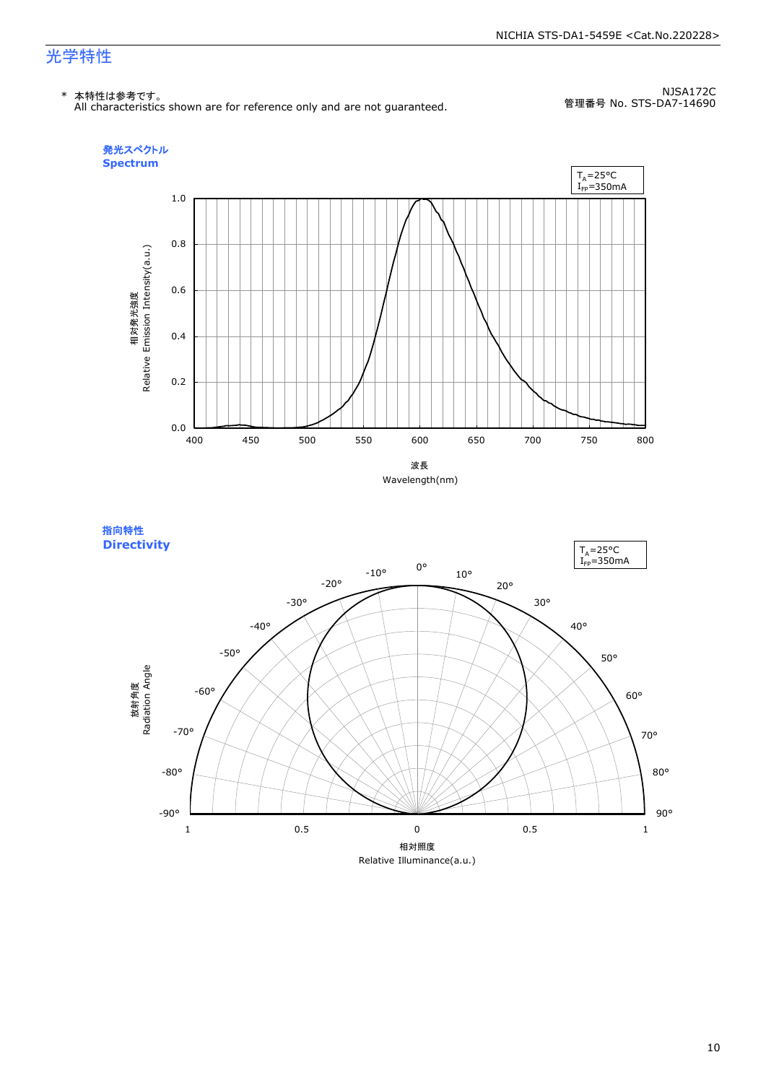#### NICHIA STS-DA1-5459E <Cat.No.220228>

### 光学特性

#### \* 本特性は参考です。

All characteristics shown are for reference only and are not guaranteed.

NJSA172C 管理番号 No. STS-DA7-14690



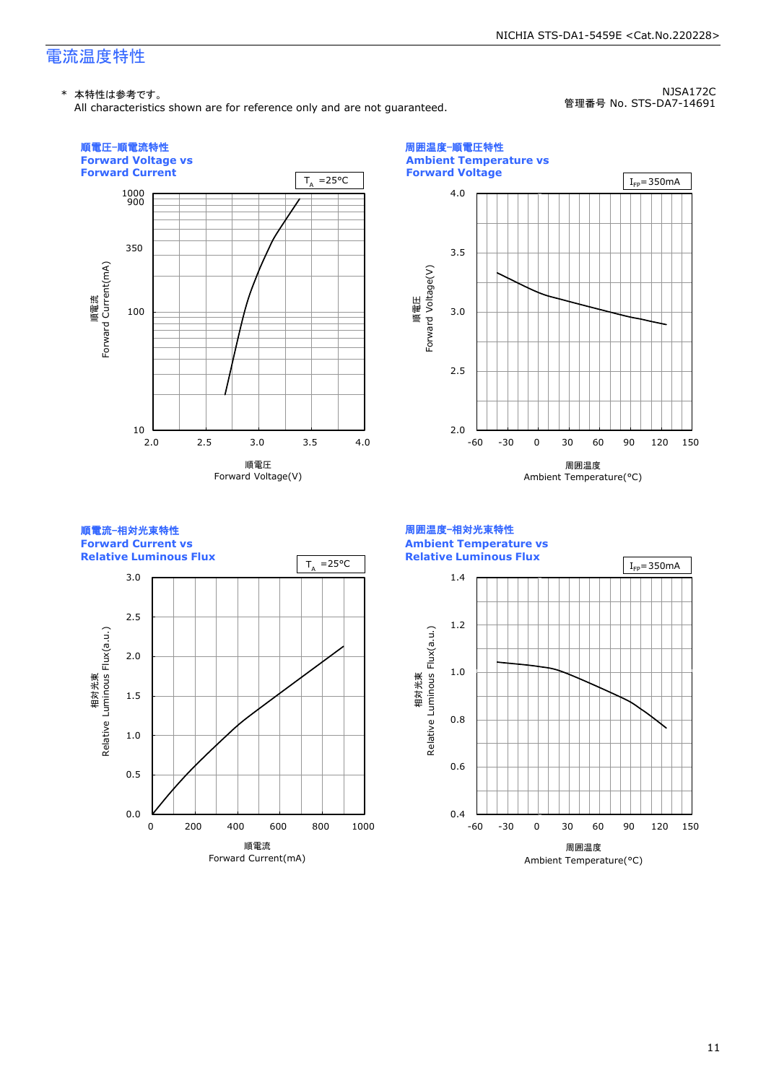### 電流温度特性

All characteristics shown are for reference only and are not guaranteed.

NJSA172C 管理番号 No. STS-DA7-14691

NICHIA STS-DA1-5459E <Cat.No.220228>

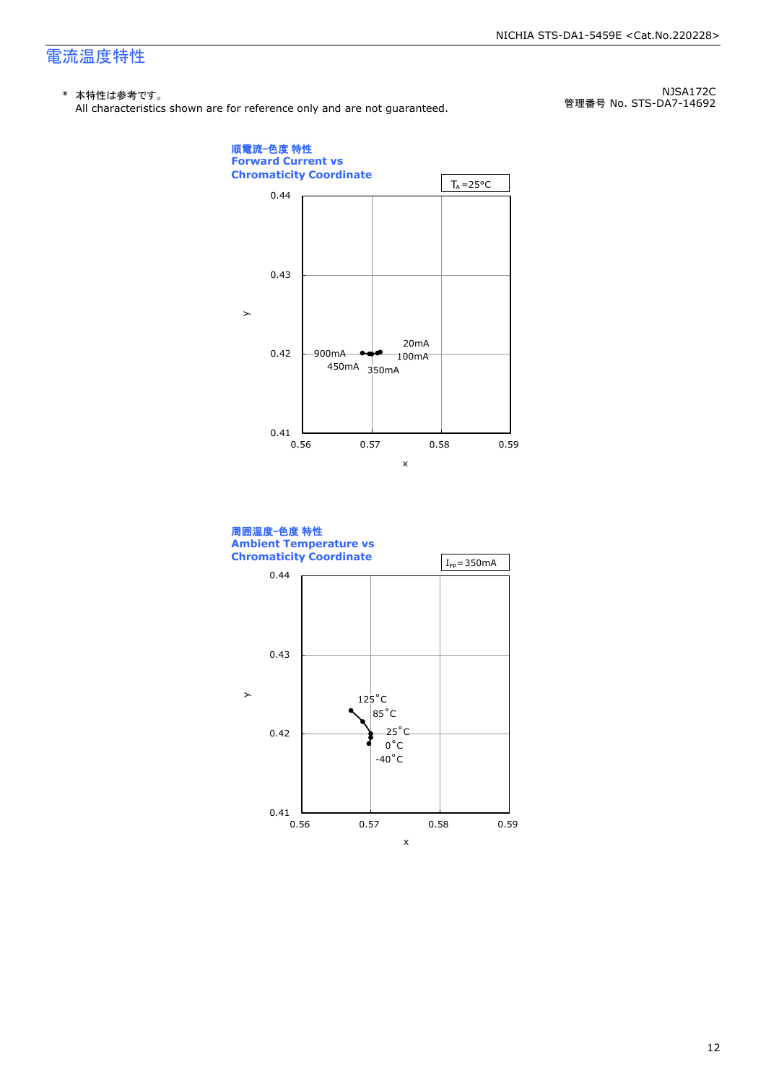### 電流温度特性

### \* 本特性は参考です。

All characteristics shown are for reference only and are not guaranteed.

NJSA172C 管理番号 No. STS-DA7-14692



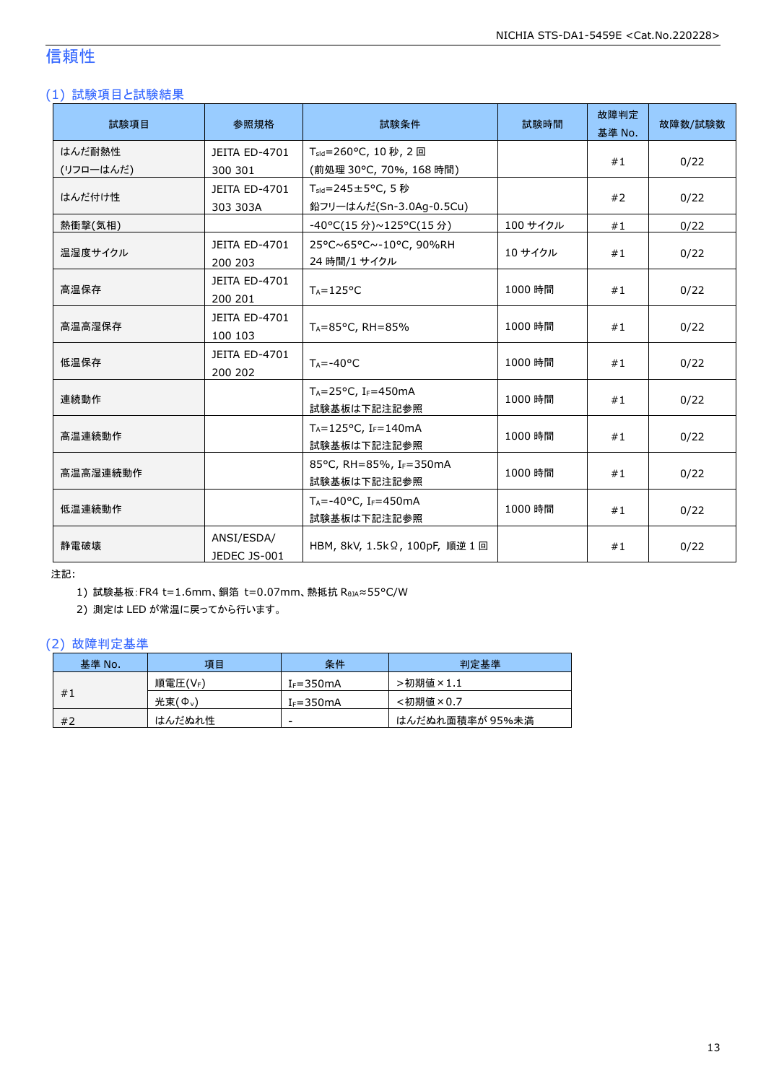### 信頼性

### (1) 試験項目と試験結果

| 試験項目                | 参照規格                            | 試験条件                                                        | 試験時間     | 故障判定<br>基準 No. | 故障数/試験数 |
|---------------------|---------------------------------|-------------------------------------------------------------|----------|----------------|---------|
| はんだ耐熱性<br>(リフローはんだ) | <b>JEITA ED-4701</b><br>300 301 | T <sub>sld</sub> =260°C, 10 秒, 2回<br>(前処理 30℃, 70%, 168 時間) |          | #1             | 0/22    |
| はんだ付け性              | JEITA ED-4701<br>303 303A       | $T_{\text{std}}$ =245±5°C, 5秒<br>鉛フリーはんだ(Sn-3.0Ag-0.5Cu)    |          | #2             | 0/22    |
| 熱衝撃(気相)             |                                 | -40°C(15分)~125°C(15分)                                       | 100 サイクル | #1             | 0/22    |
| 温湿度サイクル             | JEITA ED-4701<br>200 203        | 25°C~65°C~-10°C, 90%RH<br>24 時間/1 サイクル                      | 10 サイクル  | #1             | 0/22    |
| 高温保存                | JEITA ED-4701<br>200 201        | $T_A = 125$ °C                                              | 1000 時間  | #1             | 0/22    |
| 高温高湿保存              | <b>JEITA ED-4701</b><br>100 103 | TA=85°C, RH=85%                                             | 1000 時間  | #1             | 0/22    |
| 低温保存                | JEITA ED-4701<br>200 202        | $T_A = -40$ °C                                              | 1000 時間  | #1             | 0/22    |
| 連続動作                |                                 | $T_A = 25$ °C, I <sub>F</sub> =450mA<br>試験基板は下記注記参照         | 1000 時間  | #1             | 0/22    |
| 高温連続動作              |                                 | TA=125°C, IF=140mA<br>試験基板は下記注記参照                           | 1000 時間  | #1             | 0/22    |
| 高温高湿連続動作            |                                 | 85°C, RH=85%, IF=350mA<br>試験基板は下記注記参照                       | 1000 時間  | #1             | 0/22    |
| 低温連続動作              |                                 | $T_A = -40$ °C, I <sub>F</sub> =450mA<br>試験基板は下記注記参照        | 1000 時間  | #1             | 0/22    |
| 静電破壊                | ANSI/ESDA/<br>JEDEC JS-001      | HBM, 8kV, 1.5kΩ, 100pF, 順逆 1回                               |          | #1             | 0/22    |

注記:

1) 試験基板:FR4 t=1.6mm、銅箔 t=0.07mm、熱抵抗 RθJA≈55°C/W

2) 測定は LED が常温に戻ってから行います。

### (2) 故障判定基準

| 基準 No. | 項目                  | 条件            | 判定基準            |
|--------|---------------------|---------------|-----------------|
|        | 順電圧(VF)             | $I_F = 350mA$ | >初期値×1.1        |
| #1     | 光束(Ф <sub>v</sub> ) | $I_F = 350mA$ | <初期値×0.7        |
| #2     | はんだぬれ性              | -             | はんだぬれ面積率が 95%未満 |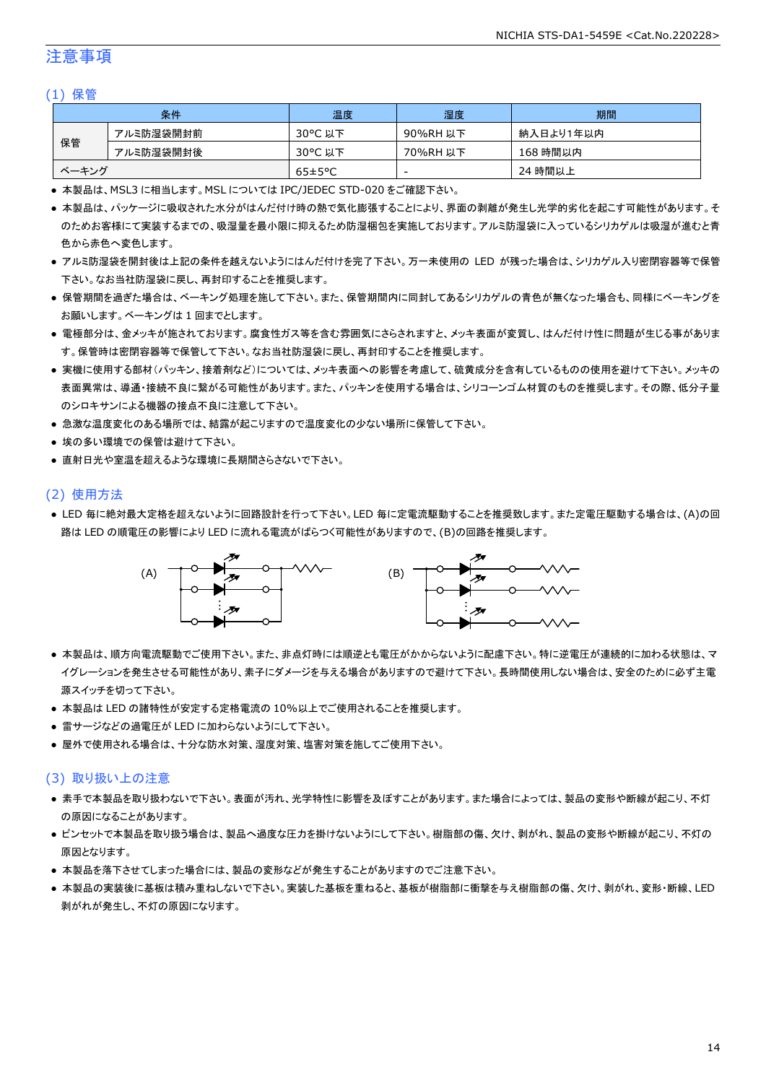### 注意事項

#### (1) 保管

|       | 条件        | 温度                   | 湿度       | 期間        |
|-------|-----------|----------------------|----------|-----------|
|       | アルミ防湿袋開封前 | 30°C 以下              | 90%RH 以下 | 納入日より1年以内 |
| 保管    | アルミ防湿袋開封後 | 30°C 以下              | 70%RH 以下 | 168 時間以内  |
| ベーキング |           | $65 \pm 5^{\circ}$ C | -        | 24 時間以上   |

● 本製品は、MSL3 に相当します。MSL については IPC/JEDEC STD-020 をご確認下さい。

- 本製品は、パッケージに吸収された水分がはんだ付け時の熱で気化膨張することにより、界面の剥離が発生し光学的劣化を起こす可能性があります。そ のためお客様にて実装するまでの、吸湿量を最小限に抑えるため防湿梱包を実施しております。アルミ防湿袋に入っているシリカゲルは吸湿が進むと青 色から赤色へ変色します。
- アルミ防湿袋を開封後は上記の条件を越えないようにはんだ付けを完了下さい。万一未使用の LED が残った場合は、シリカゲル入り密閉容器等で保管 下さい。なお当社防湿袋に戻し、再封印することを推奨します。
- 保管期間を過ぎた場合は、ベーキング処理を施して下さい。また、保管期間内に同封してあるシリカゲルの青色が無くなった場合も、同様にベーキングを お願いします。ベーキングは 1 回までとします。
- 電極部分は、金メッキが施されております。腐食性ガス等を含む雰囲気にさらされますと、メッキ表面が変質し、はんだ付け性に問題が生じる事がありま す。保管時は密閉容器等で保管して下さい。なお当社防湿袋に戻し、再封印することを推奨します。
- 実機に使用する部材(パッキン、接着剤など)については、メッキ表面への影響を考慮して、硫黄成分を含有しているものの使用を避けて下さい。メッキの 表面異常は、導通・接続不良に繋がる可能性があります。また、パッキンを使用する場合は、シリコーンゴム材質のものを推奨します。その際、低分子量 のシロキサンによる機器の接点不良に注意して下さい。
- 急激な温度変化のある場所では、結露が起こりますので温度変化の少ない場所に保管して下さい。
- 埃の多い環境での保管は避けて下さい。
- 直射日光や室温を超えるような環境に長期間さらさないで下さい。

#### (2) 使用方法

● LED 毎に絶対最大定格を超えないように回路設計を行って下さい。LED 毎に定電流駆動することを推奨致します。また定電圧駆動する場合は、(A)の回 路は LED の順電圧の影響により LED に流れる電流がばらつく可能性がありますので、(B)の回路を推奨します。



- 本製品は、順方向電流駆動でご使用下さい。また、非点灯時には順逆とも電圧がかからないように配慮下さい。特に逆電圧が連続的に加わる状態は、マ イグレーションを発生させる可能性があり、素子にダメージを与える場合がありますので避けて下さい。長時間使用しない場合は、安全のために必ず主電 源スイッチを切って下さい。
- 本製品は LED の諸特性が安定する定格電流の 10%以上でご使用されることを推奨します。
- 雷サージなどの過電圧が LED に加わらないようにして下さい。
- 屋外で使用される場合は、十分な防水対策、湿度対策、塩害対策を施してご使用下さい。

#### (3) 取り扱い上の注意

- 素手で本製品を取り扱わないで下さい。表面が汚れ、光学特性に影響を及ぼすことがあります。また場合によっては、製品の変形や断線が起こり、不灯 の原因になることがあります。
- ピンセットで本製品を取り扱う場合は、製品へ過度な圧力を掛けないようにして下さい。樹脂部の傷、欠け、剥がれ、製品の変形や断線が起こり、不灯の 原因となります。
- 本製品を落下させてしまった場合には、製品の変形などが発生することがありますのでご注意下さい。
- 本製品の実装後に基板は積み重ねしないで下さい。実装した基板を重ねると、基板が樹脂部に衝撃を与え樹脂部の傷、欠け、剥がれ、変形・断線、LED 剥がれが発生し、不灯の原因になります。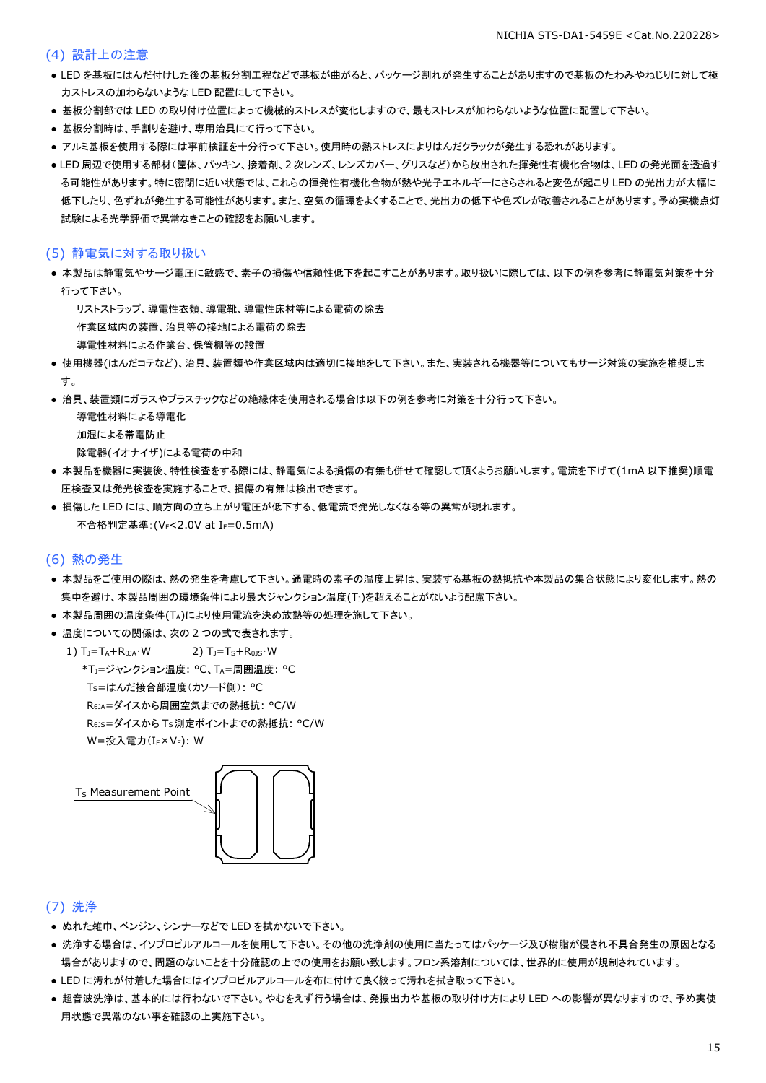#### (4) 設計上の注意

- LED を基板にはんだ付けした後の基板分割工程などで基板が曲がると、パッケージ割れが発生することがありますので基板のたわみやねじりに対して極 力ストレスの加わらないような LED 配置にして下さい。
- 基板分割部では LED の取り付け位置によって機械的ストレスが変化しますので、最もストレスが加わらないような位置に配置して下さい。
- 基板分割時は、手割りを避け、専用治具にて行って下さい。
- アルミ基板を使用する際には事前検証を十分行って下さい。使用時の熱ストレスによりはんだクラックが発生する恐れがあります。
- LED 周辺で使用する部材(筐体、パッキン、接着剤、2 次レンズ、レンズカバー、グリスなど)から放出された揮発性有機化合物は、LED の発光面を透過す る可能性があります。特に密閉に近い状態では、これらの揮発性有機化合物が熱や光子エネルギーにさらされると変色が起こり LED の光出力が大幅に 低下したり、色ずれが発生する可能性があります。また、空気の循環をよくすることで、光出力の低下や色ズレが改善されることがあります。予め実機点灯 試験による光学評価で異常なきことの確認をお願いします。

#### (5) 静電気に対する取り扱い

- 本製品は静電気やサージ電圧に敏感で、素子の損傷や信頼性低下を起こすことがあります。取り扱いに際しては、以下の例を参考に静電気対策を十分 行って下さい。
	- リストストラップ、導電性衣類、導電靴、導電性床材等による電荷の除去

作業区域内の装置、治具等の接地による電荷の除去

- 導電性材料による作業台、保管棚等の設置
- 使用機器(はんだコテなど)、治具、装置類や作業区域内は適切に接地をして下さい。また、実装される機器等についてもサージ対策の実施を推奨しま す。
- 治具、装置類にガラスやプラスチックなどの絶縁体を使用される場合は以下の例を参考に対策を十分行って下さい。

導電性材料による導電化

- 加湿による帯電防止
- 除電器(イオナイザ)による電荷の中和
- 本製品を機器に実装後、特性検査をする際には、静電気による損傷の有無も併せて確認して頂くようお願いします。電流を下げて(1mA 以下推奨)順電 圧検査又は発光検査を実施することで、損傷の有無は検出できます。
- 損傷した LED には、順方向の立ち上がり電圧が低下する、低電流で発光しなくなる等の異常が現れます。 不合格判定基準:(VF<2.0V at IF=0.5mA)

#### (6) 熱の発生

- 本製品をご使用の際は、熱の発生を考慮して下さい。通電時の素子の温度上昇は、実装する基板の熱抵抗や本製品の集合状態により変化します。熱の 集中を避け、本製品周囲の環境条件により最大ジャンクション温度(TJ)を超えることがないよう配慮下さい。
- 本製品周囲の温度条件(TA)により使用電流を決め放熱等の処理を施して下さい。
- 温度についての関係は、次の2つの式で表されます。
	- 1)  $T_1 = T_A + R_{\theta I} \cdot W$  2)  $T_1 = T_S + R_{\theta I} \cdot W$  \*TJ=ジャンクション温度: °C、TA=周囲温度: °C TS=はんだ接合部温度(カソード側): °C RθJA=ダイスから周囲空気までの熱抵抗: °C/W RθJS=ダイスから TS測定ポイントまでの熱抵抗: °C/W W=投入電力(I<sub>F</sub>×V<sub>F</sub>): W



### (7) 洗浄

- ぬれた雑巾、ベンジン、シンナーなどで LED を拭かないで下さい。
- 洗浄する場合は、イソプロピルアルコールを使用して下さい。その他の洗浄剤の使用に当たってはパッケージ及び樹脂が侵され不具合発生の原因となる 場合がありますので、問題のないことを十分確認の上での使用をお願い致します。フロン系溶剤については、世界的に使用が規制されています。
- LED に汚れが付着した場合にはイソプロピルアルコールを布に付けて良く絞って汚れを拭き取って下さい。
- 超音波洗浄は、基本的には行わないで下さい。やむをえず行う場合は、発振出力や基板の取り付け方により LED への影響が異なりますので、予め実使 用状態で異常のない事を確認の上実施下さい。